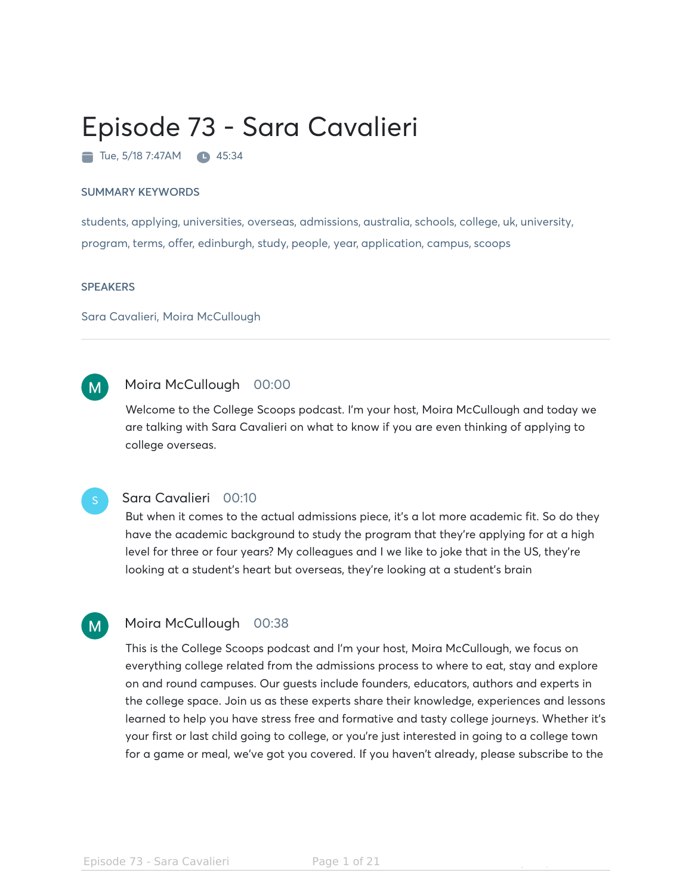# Episode 73 - Sara Cavalieri

 $\blacksquare$  Tue, 5/18 7:47AM  $\blacksquare$  45:34

### SUMMARY KEYWORDS

students, applying, universities, overseas, admissions, australia, schools, college, uk, university, program, terms, offer, edinburgh, study, people, year, application, campus, scoops

### **SPEAKERS**

Sara Cavalieri, Moira McCullough

#### Moira McCullough 00:00  $M$

Welcome to the College Scoops podcast. I'm your host, Moira McCullough and today we are talking with Sara Cavalieri on what to know if you are even thinking of applying to college overseas.

### Sara Cavalieri 00:10

But when it comes to the actual admissions piece, it's a lot more academic fit. So do they have the academic background to study the program that they're applying for at a high level for three or four years? My colleagues and I we like to joke that in the US, they're looking at a student's heart but overseas, they're looking at a student's brain

#### Moira McCullough 00:38  $M$

This is the College Scoops podcast and I'm your host, Moira McCullough, we focus on everything college related from the admissions process to where to eat, stay and explore on and round campuses. Our guests include founders, educators, authors and experts in the college space. Join us as these experts share their knowledge, experiences and lessons learned to help you have stress free and formative and tasty college journeys. Whether it's your first or last child going to college, or you're just interested in going to a college town for a game or meal, we've got you covered. If you haven't already, please subscribe to the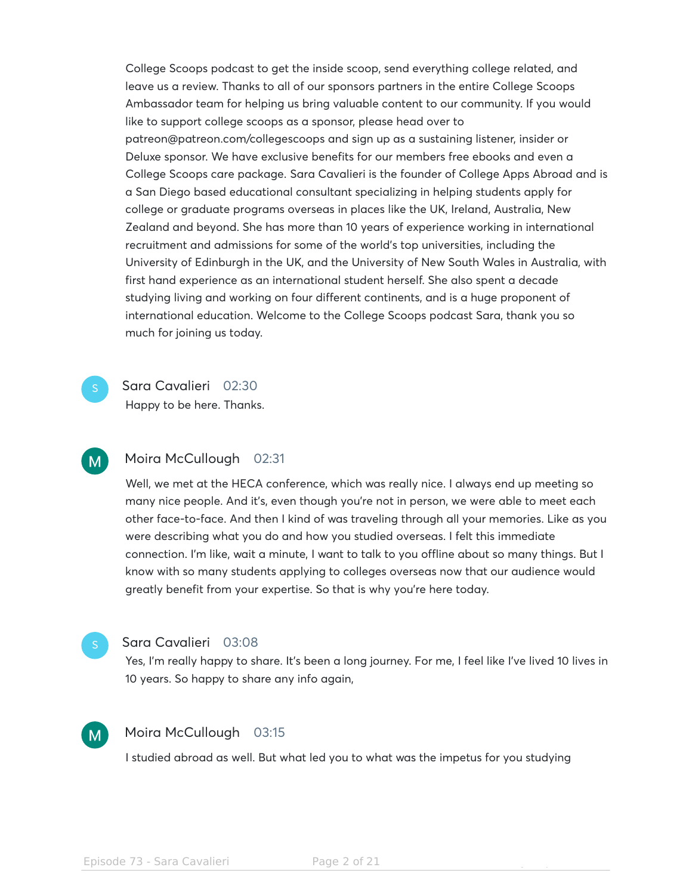College Scoops podcast to get the inside scoop, send everything college related, and leave us a review. Thanks to all of our sponsors partners in the entire College Scoops Ambassador team for helping us bring valuable content to our community. If you would like to support college scoops as a sponsor, please head over to patreon@patreon.com/collegescoops and sign up as a sustaining listener, insider or Deluxe sponsor. We have exclusive benefits for our members free ebooks and even a College Scoops care package. Sara Cavalieri is the founder of College Apps Abroad and is a San Diego based educational consultant specializing in helping students apply for college or graduate programs overseas in places like the UK, Ireland, Australia, New Zealand and beyond. She has more than 10 years of experience working in international recruitment and admissions for some of the world's top universities, including the University of Edinburgh in the UK, and the University of New South Wales in Australia, with first hand experience as an international student herself. She also spent a decade studying living and working on four different continents, and is a huge proponent of international education. Welcome to the College Scoops podcast Sara, thank you so much for joining us today.

Sara Cavalieri 02:30

Happy to be here. Thanks.

### Moira McCullough 02:31  $M$

Well, we met at the HECA conference, which was really nice. I always end up meeting so many nice people. And it's, even though you're not in person, we were able to meet each other face-to-face. And then I kind of was traveling through all your memories. Like as you were describing what you do and how you studied overseas. I felt this immediate connection. I'm like, wait a minute, I want to talk to you offline about so many things. But I know with so many students applying to colleges overseas now that our audience would greatly benefit from your expertise. So that is why you're here today.

### Sara Cavalieri 03:08

Yes, I'm really happy to share. It's been a long journey. For me, I feel like I've lived 10 lives in 10 years. So happy to share any info again,

### Moira McCullough 03:15  $M$

I studied abroad as well. But what led you to what was the impetus for you studying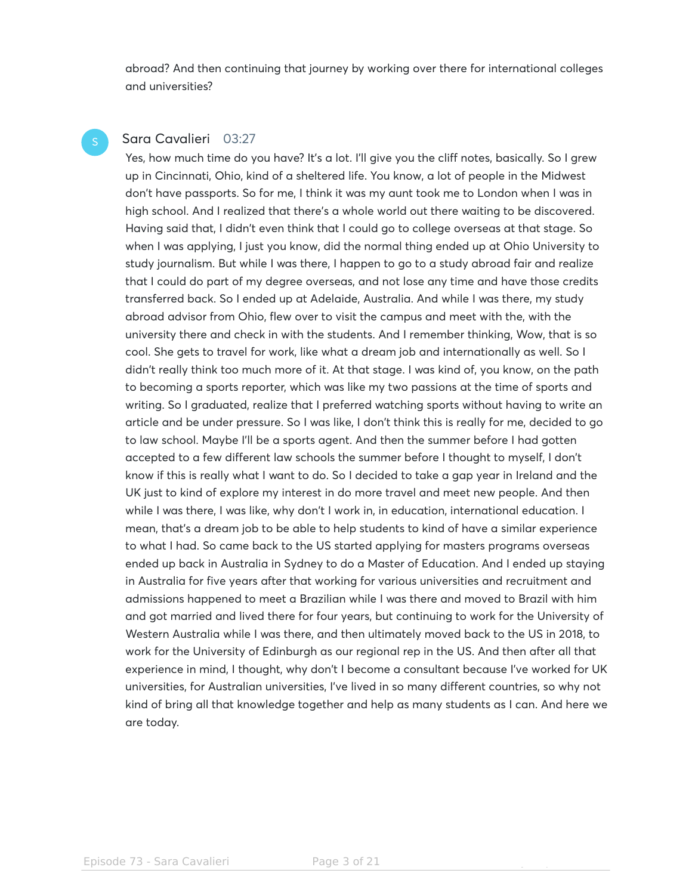abroad? And then continuing that journey by working over there for international colleges and universities?

### Sara Cavalieri 03:27

Yes, how much time do you have? It's a lot. I'll give you the cliff notes, basically. So I grew up in Cincinnati, Ohio, kind of a sheltered life. You know, a lot of people in the Midwest don't have passports. So for me, I think it was my aunt took me to London when I was in high school. And I realized that there's a whole world out there waiting to be discovered. Having said that, I didn't even think that I could go to college overseas at that stage. So when I was applying, I just you know, did the normal thing ended up at Ohio University to study journalism. But while I was there, I happen to go to a study abroad fair and realize that I could do part of my degree overseas, and not lose any time and have those credits transferred back. So I ended up at Adelaide, Australia. And while I was there, my study abroad advisor from Ohio, flew over to visit the campus and meet with the, with the university there and check in with the students. And I remember thinking, Wow, that is so cool. She gets to travel for work, like what a dream job and internationally as well. So I didn't really think too much more of it. At that stage. I was kind of, you know, on the path to becoming a sports reporter, which was like my two passions at the time of sports and writing. So I graduated, realize that I preferred watching sports without having to write an article and be under pressure. So I was like, I don't think this is really for me, decided to go to law school. Maybe I'll be a sports agent. And then the summer before I had gotten accepted to a few different law schools the summer before I thought to myself, I don't know if this is really what I want to do. So I decided to take a gap year in Ireland and the UK just to kind of explore my interest in do more travel and meet new people. And then while I was there, I was like, why don't I work in, in education, international education. I mean, that's a dream job to be able to help students to kind of have a similar experience to what I had. So came back to the US started applying for masters programs overseas ended up back in Australia in Sydney to do a Master of Education. And I ended up staying in Australia for five years after that working for various universities and recruitment and admissions happened to meet a Brazilian while I was there and moved to Brazil with him and got married and lived there for four years, but continuing to work for the University of Western Australia while I was there, and then ultimately moved back to the US in 2018, to work for the University of Edinburgh as our regional rep in the US. And then after all that experience in mind, I thought, why don't I become a consultant because I've worked for UK universities, for Australian universities, I've lived in so many different countries, so why not kind of bring all that knowledge together and help as many students as I can. And here we are today.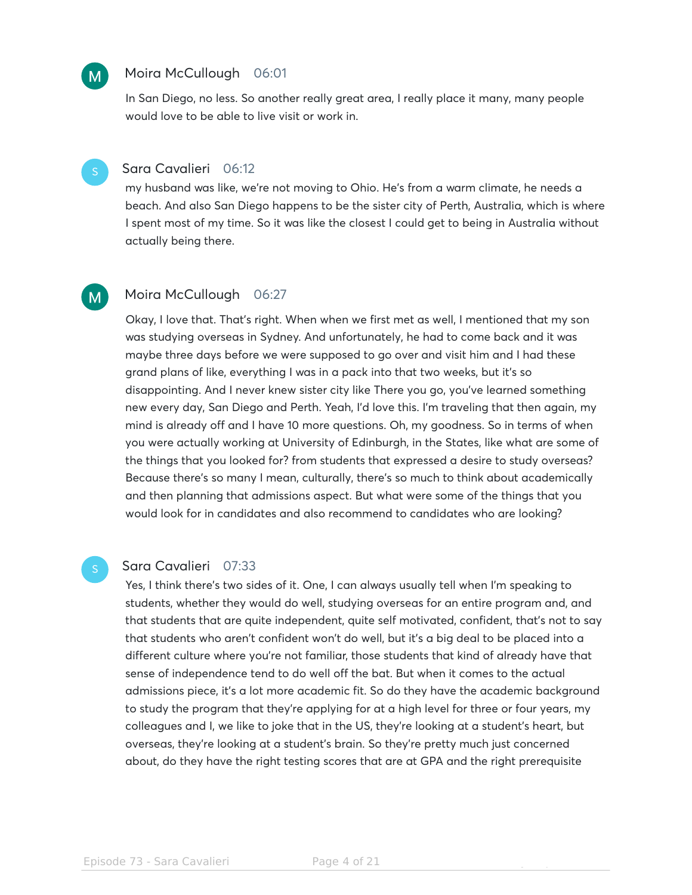### Moira McCullough 06:01

In San Diego, no less. So another really great area, I really place it many, many people would love to be able to live visit or work in.



 $M$ 

### Sara Cavalieri 06:12

my husband was like, we're not moving to Ohio. He's from a warm climate, he needs a beach. And also San Diego happens to be the sister city of Perth, Australia, which is where I spent most of my time. So it was like the closest I could get to being in Australia without actually being there.



### Moira McCullough 06:27

Okay, I love that. That's right. When when we first met as well, I mentioned that my son was studying overseas in Sydney. And unfortunately, he had to come back and it was maybe three days before we were supposed to go over and visit him and I had these grand plans of like, everything I was in a pack into that two weeks, but it's so disappointing. And I never knew sister city like There you go, you've learned something new every day, San Diego and Perth. Yeah, I'd love this. I'm traveling that then again, my mind is already off and I have 10 more questions. Oh, my goodness. So in terms of when you were actually working at University of Edinburgh, in the States, like what are some of the things that you looked for? from students that expressed a desire to study overseas? Because there's so many I mean, culturally, there's so much to think about academically and then planning that admissions aspect. But what were some of the things that you would look for in candidates and also recommend to candidates who are looking?

### Sara Cavalieri 07:33

Yes, I think there's two sides of it. One, I can always usually tell when I'm speaking to students, whether they would do well, studying overseas for an entire program and, and that students that are quite independent, quite self motivated, confident, that's not to say that students who aren't confident won't do well, but it's a big deal to be placed into a different culture where you're not familiar, those students that kind of already have that sense of independence tend to do well off the bat. But when it comes to the actual admissions piece, it's a lot more academic fit. So do they have the academic background to study the program that they're applying for at a high level for three or four years, my colleagues and I, we like to joke that in the US, they're looking at a student's heart, but overseas, they're looking at a student's brain. So they're pretty much just concerned about, do they have the right testing scores that are at GPA and the right prerequisite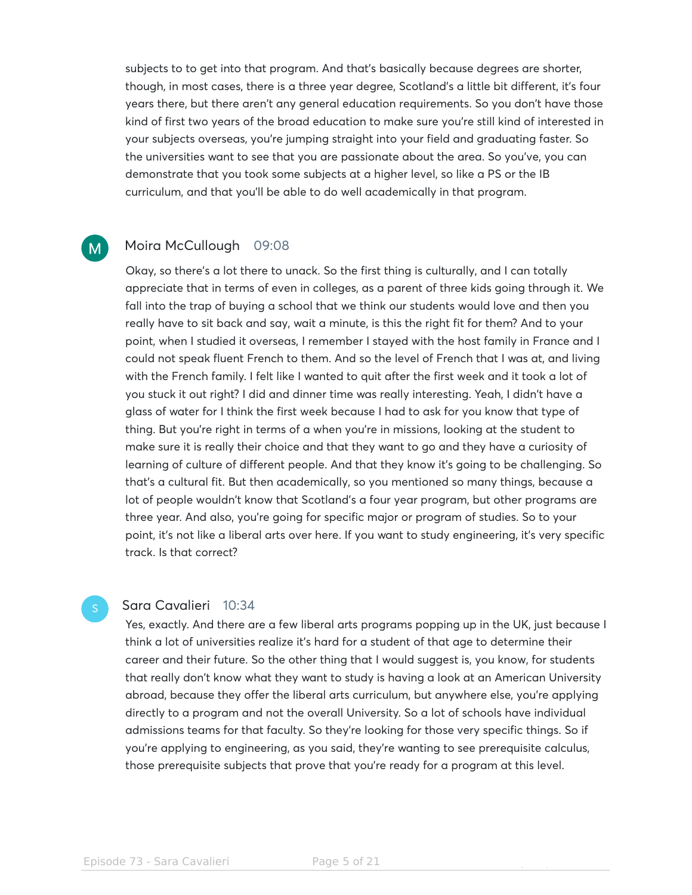subjects to to get into that program. And that's basically because degrees are shorter, though, in most cases, there is a three year degree, Scotland's a little bit different, it's four years there, but there aren't any general education requirements. So you don't have those kind of first two years of the broad education to make sure you're still kind of interested in your subjects overseas, you're jumping straight into your field and graduating faster. So the universities want to see that you are passionate about the area. So you've, you can demonstrate that you took some subjects at a higher level, so like a PS or the IB curriculum, and that you'll be able to do well academically in that program.

#### Moira McCullough 09:08  $M$

Okay, so there's a lot there to unack. So the first thing is culturally, and I can totally appreciate that in terms of even in colleges, as a parent of three kids going through it. We fall into the trap of buying a school that we think our students would love and then you really have to sit back and say, wait a minute, is this the right fit for them? And to your point, when I studied it overseas, I remember I stayed with the host family in France and I could not speak fluent French to them. And so the level of French that I was at, and living with the French family. I felt like I wanted to quit after the first week and it took a lot of you stuck it out right? I did and dinner time was really interesting. Yeah, I didn't have a glass of water for I think the first week because I had to ask for you know that type of thing. But you're right in terms of a when you're in missions, looking at the student to make sure it is really their choice and that they want to go and they have a curiosity of learning of culture of different people. And that they know it's going to be challenging. So that's a cultural fit. But then academically, so you mentioned so many things, because a lot of people wouldn't know that Scotland's a four year program, but other programs are three year. And also, you're going for specific major or program of studies. So to your point, it's not like a liberal arts over here. If you want to study engineering, it's very specific track. Is that correct?

### Sara Cavalieri 10:34

Yes, exactly. And there are a few liberal arts programs popping up in the UK, just because I think a lot of universities realize it's hard for a student of that age to determine their career and their future. So the other thing that I would suggest is, you know, for students that really don't know what they want to study is having a look at an American University abroad, because they offer the liberal arts curriculum, but anywhere else, you're applying directly to a program and not the overall University. So a lot of schools have individual admissions teams for that faculty. So they're looking for those very specific things. So if you're applying to engineering, as you said, they're wanting to see prerequisite calculus, those prerequisite subjects that prove that you're ready for a program at this level.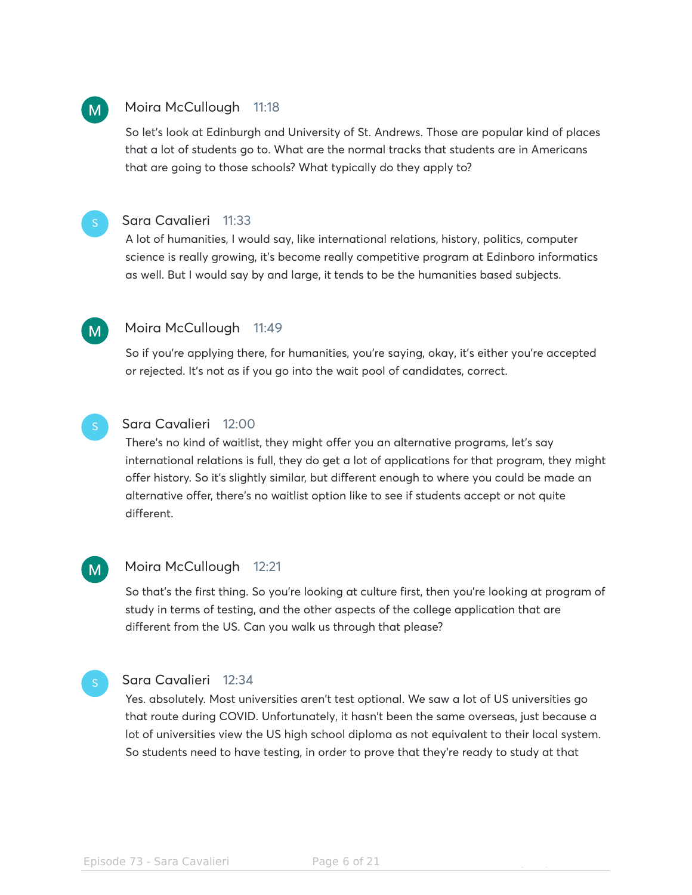## Moira McCullough 11:18

 $M$ 

 $M$ 

So let's look at Edinburgh and University of St. Andrews. Those are popular kind of places that a lot of students go to. What are the normal tracks that students are in Americans that are going to those schools? What typically do they apply to?

### Sara Cavalieri 11:33

A lot of humanities, I would say, like international relations, history, politics, computer science is really growing, it's become really competitive program at Edinboro informatics as well. But I would say by and large, it tends to be the humanities based subjects.

### Moira McCullough 11:49

So if you're applying there, for humanities, you're saying, okay, it's either you're accepted or rejected. It's not as if you go into the wait pool of candidates, correct.

### Sara Cavalieri 12:00

There's no kind of waitlist, they might offer you an alternative programs, let's say international relations is full, they do get a lot of applications for that program, they might offer history. So it's slightly similar, but different enough to where you could be made an alternative offer, there's no waitlist option like to see if students accept or not quite different.

# $M$

### Moira McCullough 12:21

So that's the first thing. So you're looking at culture first, then you're looking at program of study in terms of testing, and the other aspects of the college application that are different from the US. Can you walk us through that please?

## Sara Cavalieri 12:34

Yes. absolutely. Most universities aren't test optional. We saw a lot of US universities go that route during COVID. Unfortunately, it hasn't been the same overseas, just because a lot of universities view the US high school diploma as not equivalent to their local system. So students need to have testing, in order to prove that they're ready to study at that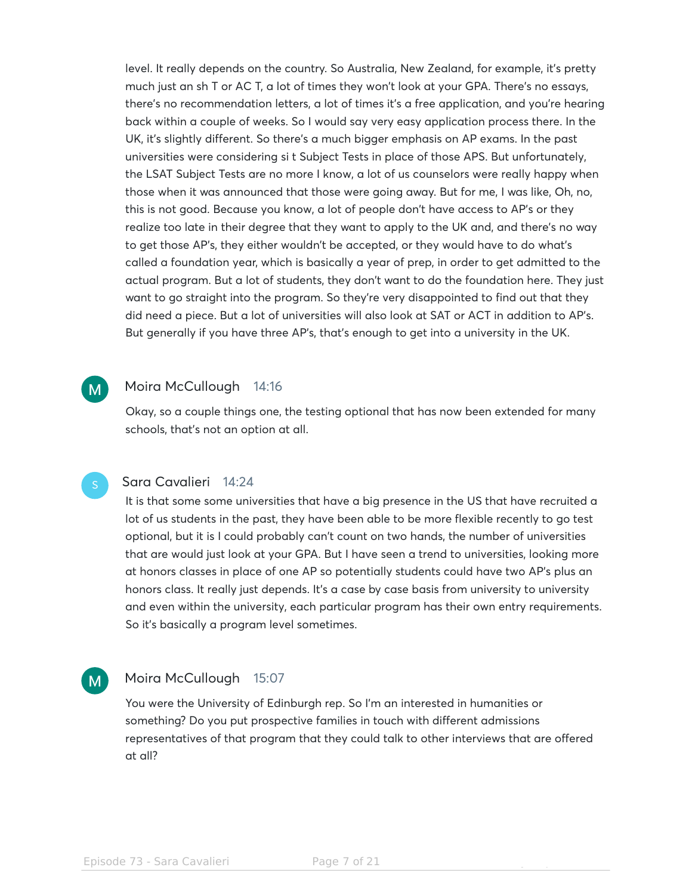level. It really depends on the country. So Australia, New Zealand, for example, it's pretty much just an sh T or AC T, a lot of times they won't look at your GPA. There's no essays, there's no recommendation letters, a lot of times it's a free application, and you're hearing back within a couple of weeks. So I would say very easy application process there. In the UK, it's slightly different. So there's a much bigger emphasis on AP exams. In the past universities were considering si t Subject Tests in place of those APS. But unfortunately, the LSAT Subject Tests are no more I know, a lot of us counselors were really happy when those when it was announced that those were going away. But for me, I was like, Oh, no, this is not good. Because you know, a lot of people don't have access to AP's or they realize too late in their degree that they want to apply to the UK and, and there's no way to get those AP's, they either wouldn't be accepted, or they would have to do what's called a foundation year, which is basically a year of prep, in order to get admitted to the actual program. But a lot of students, they don't want to do the foundation here. They just want to go straight into the program. So they're very disappointed to find out that they did need a piece. But a lot of universities will also look at SAT or ACT in addition to AP's. But generally if you have three AP's, that's enough to get into a university in the UK.

#### Moira McCullough 14:16  $M$

Okay, so a couple things one, the testing optional that has now been extended for many schools, that's not an option at all.

### Sara Cavalieri 14:24

It is that some some universities that have a big presence in the US that have recruited a lot of us students in the past, they have been able to be more flexible recently to go test optional, but it is I could probably can't count on two hands, the number of universities that are would just look at your GPA. But I have seen a trend to universities, looking more at honors classes in place of one AP so potentially students could have two AP's plus an honors class. It really just depends. It's a case by case basis from university to university and even within the university, each particular program has their own entry requirements. So it's basically a program level sometimes.

#### Moira McCullough 15:07  $M$

You were the University of Edinburgh rep. So I'm an interested in humanities or something? Do you put prospective families in touch with different admissions representatives of that program that they could talk to other interviews that are offered at all?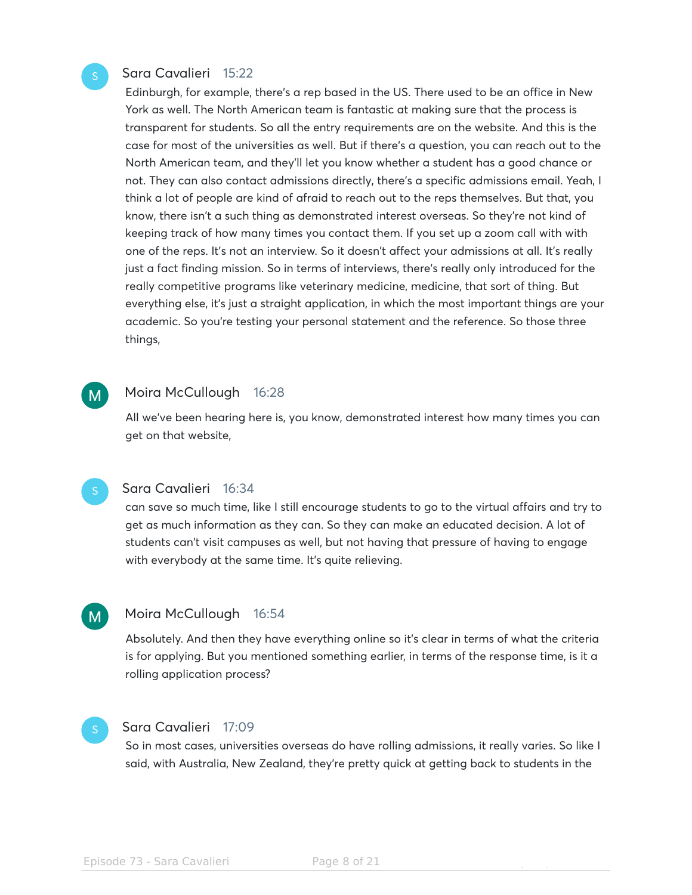### Sara Cavalieri 15:22

Edinburgh, for example, there's a rep based in the US. There used to be an office in New York as well. The North American team is fantastic at making sure that the process is transparent for students. So all the entry requirements are on the website. And this is the case for most of the universities as well. But if there's a question, you can reach out to the North American team, and they'll let you know whether a student has a good chance or not. They can also contact admissions directly, there's a specific admissions email. Yeah, I think a lot of people are kind of afraid to reach out to the reps themselves. But that, you know, there isn't a such thing as demonstrated interest overseas. So they're not kind of keeping track of how many times you contact them. If you set up a zoom call with with one of the reps. It's not an interview. So it doesn't affect your admissions at all. It's really just a fact finding mission. So in terms of interviews, there's really only introduced for the really competitive programs like veterinary medicine, medicine, that sort of thing. But everything else, it's just a straight application, in which the most important things are your academic. So you're testing your personal statement and the reference. So those three things,

#### Moira McCullough 16:28 M.

All we've been hearing here is, you know, demonstrated interest how many times you can get on that website,

 $M$ 

### Sara Cavalieri 16:34

can save so much time, like I still encourage students to go to the virtual affairs and try to get as much information as they can. So they can make an educated decision. A lot of students can't visit campuses as well, but not having that pressure of having to engage with everybody at the same time. It's quite relieving.

### Moira McCullough 16:54

Absolutely. And then they have everything online so it's clear in terms of what the criteria is for applying. But you mentioned something earlier, in terms of the response time, is it a rolling application process?

### Sara Cavalieri 17:09

So in most cases, universities overseas do have rolling admissions, it really varies. So like I said, with Australia, New Zealand, they're pretty quick at getting back to students in the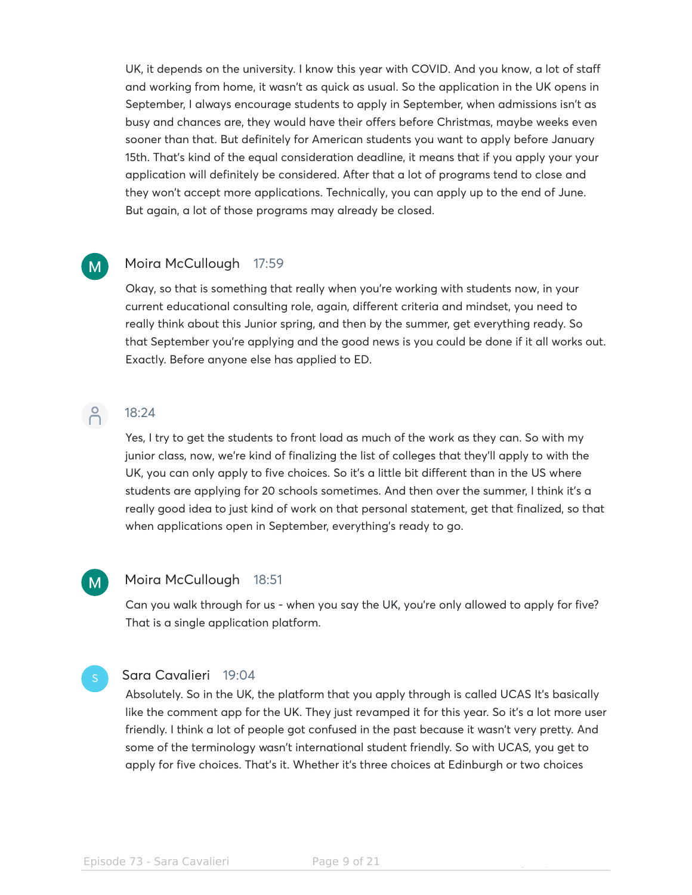UK, it depends on the university. I know this year with COVID. And you know, a lot of staff and working from home, it wasn't as quick as usual. So the application in the UK opens in September, I always encourage students to apply in September, when admissions isn't as busy and chances are, they would have their offers before Christmas, maybe weeks even sooner than that. But definitely for American students you want to apply before January 15th. That's kind of the equal consideration deadline, it means that if you apply your your application will definitely be considered. After that a lot of programs tend to close and they won't accept more applications. Technically, you can apply up to the end of June. But again, a lot of those programs may already be closed.

#### Moira McCullough 17:59  $\mathsf{M}$

Okay, so that is something that really when you're working with students now, in your current educational consulting role, again, different criteria and mindset, you need to really think about this Junior spring, and then by the summer, get everything ready. So that September you're applying and the good news is you could be done if it all works out. Exactly. Before anyone else has applied to ED.

# $\beta$

 $M$ 

## 18:24

Yes, I try to get the students to front load as much of the work as they can. So with my junior class, now, we're kind of finalizing the list of colleges that they'll apply to with the UK, you can only apply to five choices. So it's a little bit different than in the US where students are applying for 20 schools sometimes. And then over the summer, I think it's a really good idea to just kind of work on that personal statement, get that finalized, so that when applications open in September, everything's ready to go.

### Moira McCullough 18:51

Can you walk through for us - when you say the UK, you're only allowed to apply for five? That is a single application platform.

### Sara Cavalieri 19:04

Absolutely. So in the UK, the platform that you apply through is called UCAS It's basically like the comment app for the UK. They just revamped it for this year. So it's a lot more user friendly. I think a lot of people got confused in the past because it wasn't very pretty. And some of the terminology wasn't international student friendly. So with UCAS, you get to apply for five choices. That's it. Whether it's three choices at Edinburgh or two choices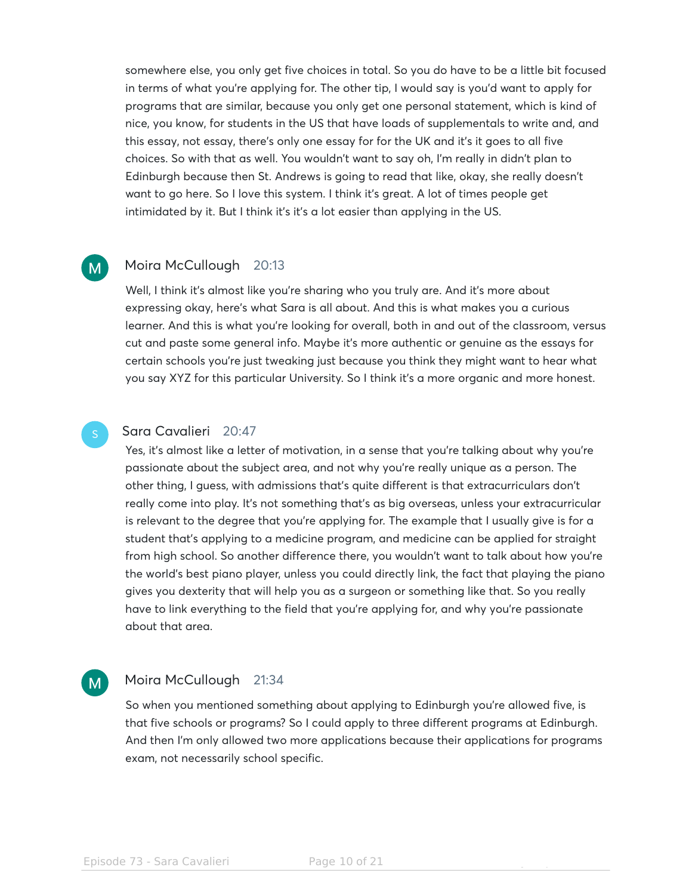somewhere else, you only get five choices in total. So you do have to be a little bit focused in terms of what you're applying for. The other tip, I would say is you'd want to apply for programs that are similar, because you only get one personal statement, which is kind of nice, you know, for students in the US that have loads of supplementals to write and, and this essay, not essay, there's only one essay for for the UK and it's it goes to all five choices. So with that as well. You wouldn't want to say oh, I'm really in didn't plan to Edinburgh because then St. Andrews is going to read that like, okay, she really doesn't want to go here. So I love this system. I think it's great. A lot of times people get intimidated by it. But I think it's it's a lot easier than applying in the US.

#### Moira McCullough 20:13  $M$

Well, I think it's almost like you're sharing who you truly are. And it's more about expressing okay, here's what Sara is all about. And this is what makes you a curious learner. And this is what you're looking for overall, both in and out of the classroom, versus cut and paste some general info. Maybe it's more authentic or genuine as the essays for certain schools you're just tweaking just because you think they might want to hear what you say XYZ for this particular University. So I think it's a more organic and more honest.

### Sara Cavalieri 20:47

Yes, it's almost like a letter of motivation, in a sense that you're talking about why you're passionate about the subject area, and not why you're really unique as a person. The other thing, I guess, with admissions that's quite different is that extracurriculars don't really come into play. It's not something that's as big overseas, unless your extracurricular is relevant to the degree that you're applying for. The example that I usually give is for a student that's applying to a medicine program, and medicine can be applied for straight from high school. So another difference there, you wouldn't want to talk about how you're the world's best piano player, unless you could directly link, the fact that playing the piano gives you dexterity that will help you as a surgeon or something like that. So you really have to link everything to the field that you're applying for, and why you're passionate about that area.

### Moira McCullough 21:34  $M$

So when you mentioned something about applying to Edinburgh you're allowed five, is that five schools or programs? So I could apply to three different programs at Edinburgh. And then I'm only allowed two more applications because their applications for programs exam, not necessarily school specific.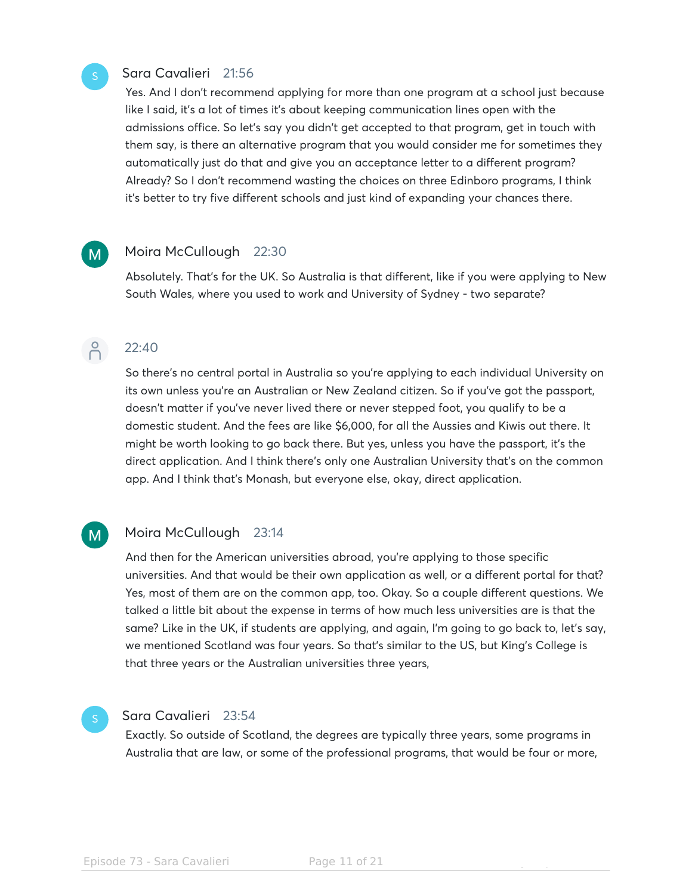### Sara Cavalieri 21:56

Yes. And I don't recommend applying for more than one program at a school just because like I said, it's a lot of times it's about keeping communication lines open with the admissions office. So let's say you didn't get accepted to that program, get in touch with them say, is there an alternative program that you would consider me for sometimes they automatically just do that and give you an acceptance letter to a different program? Already? So I don't recommend wasting the choices on three Edinboro programs, I think it's better to try five different schools and just kind of expanding your chances there.

### Moira McCullough 22:30

Absolutely. That's for the UK. So Australia is that different, like if you were applying to New South Wales, where you used to work and University of Sydney - two separate?



 $M$ 

 $\mathsf{M}$ 

### 22:40

So there's no central portal in Australia so you're applying to each individual University on its own unless you're an Australian or New Zealand citizen. So if you've got the passport, doesn't matter if you've never lived there or never stepped foot, you qualify to be a domestic student. And the fees are like \$6,000, for all the Aussies and Kiwis out there. It might be worth looking to go back there. But yes, unless you have the passport, it's the direct application. And I think there's only one Australian University that's on the common app. And I think that's Monash, but everyone else, okay, direct application.

### Moira McCullough 23:14

And then for the American universities abroad, you're applying to those specific universities. And that would be their own application as well, or a different portal for that? Yes, most of them are on the common app, too. Okay. So a couple different questions. We talked a little bit about the expense in terms of how much less universities are is that the same? Like in the UK, if students are applying, and again, I'm going to go back to, let's say, we mentioned Scotland was four years. So that's similar to the US, but King's College is that three years or the Australian universities three years,

### Sara Cavalieri 23:54

Exactly. So outside of Scotland, the degrees are typically three years, some programs in Australia that are law, or some of the professional programs, that would be four or more,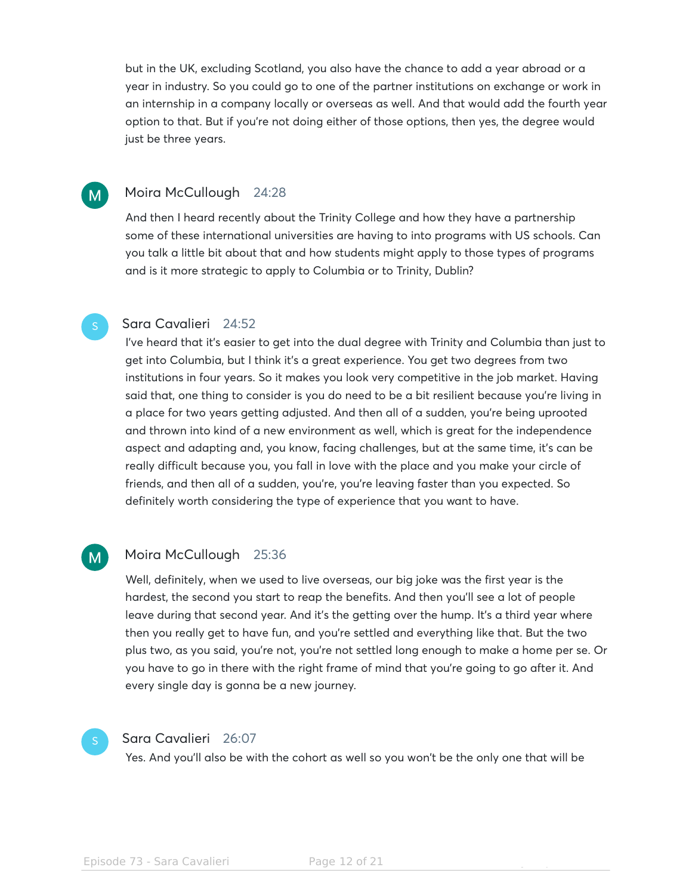but in the UK, excluding Scotland, you also have the chance to add a year abroad or a year in industry. So you could go to one of the partner institutions on exchange or work in an internship in a company locally or overseas as well. And that would add the fourth year option to that. But if you're not doing either of those options, then yes, the degree would just be three years.

### Moira McCullough 24:28  $M$

And then I heard recently about the Trinity College and how they have a partnership some of these international universities are having to into programs with US schools. Can you talk a little bit about that and how students might apply to those types of programs and is it more strategic to apply to Columbia or to Trinity, Dublin?

### Sara Cavalieri 24:52

I've heard that it's easier to get into the dual degree with Trinity and Columbia than just to get into Columbia, but I think it's a great experience. You get two degrees from two institutions in four years. So it makes you look very competitive in the job market. Having said that, one thing to consider is you do need to be a bit resilient because you're living in a place for two years getting adjusted. And then all of a sudden, you're being uprooted and thrown into kind of a new environment as well, which is great for the independence aspect and adapting and, you know, facing challenges, but at the same time, it's can be really difficult because you, you fall in love with the place and you make your circle of friends, and then all of a sudden, you're, you're leaving faster than you expected. So definitely worth considering the type of experience that you want to have.

### Moira McCullough 25:36  $M$

Well, definitely, when we used to live overseas, our big joke was the first year is the hardest, the second you start to reap the benefits. And then you'll see a lot of people leave during that second year. And it's the getting over the hump. It's a third year where then you really get to have fun, and you're settled and everything like that. But the two plus two, as you said, you're not, you're not settled long enough to make a home per se. Or you have to go in there with the right frame of mind that you're going to go after it. And every single day is gonna be a new journey.



### Sara Cavalieri 26:07

Yes. And you'll also be with the cohort as well so you won't be the only one that will be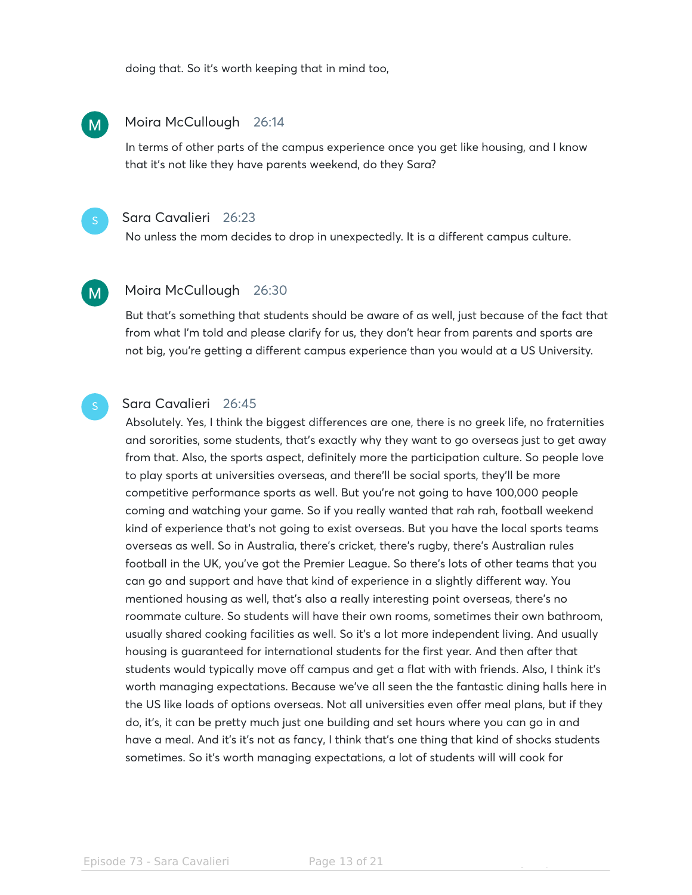doing that. So it's worth keeping that in mind too,

#### Moira McCullough 26:14  $\mathsf{M}$

In terms of other parts of the campus experience once you get like housing, and I know that it's not like they have parents weekend, do they Sara?



### Sara Cavalieri 26:23

No unless the mom decides to drop in unexpectedly. It is a different campus culture.

## $M$

### Moira McCullough 26:30

But that's something that students should be aware of as well, just because of the fact that from what I'm told and please clarify for us, they don't hear from parents and sports are not big, you're getting a different campus experience than you would at a US University.

### Sara Cavalieri 26:45

Absolutely. Yes, I think the biggest differences are one, there is no greek life, no fraternities and sororities, some students, that's exactly why they want to go overseas just to get away from that. Also, the sports aspect, definitely more the participation culture. So people love to play sports at universities overseas, and there'll be social sports, they'll be more competitive performance sports as well. But you're not going to have 100,000 people coming and watching your game. So if you really wanted that rah rah, football weekend kind of experience that's not going to exist overseas. But you have the local sports teams overseas as well. So in Australia, there's cricket, there's rugby, there's Australian rules football in the UK, you've got the Premier League. So there's lots of other teams that you can go and support and have that kind of experience in a slightly different way. You mentioned housing as well, that's also a really interesting point overseas, there's no roommate culture. So students will have their own rooms, sometimes their own bathroom, usually shared cooking facilities as well. So it's a lot more independent living. And usually housing is guaranteed for international students for the first year. And then after that students would typically move off campus and get a flat with with friends. Also, I think it's worth managing expectations. Because we've all seen the the fantastic dining halls here in the US like loads of options overseas. Not all universities even offer meal plans, but if they do, it's, it can be pretty much just one building and set hours where you can go in and have a meal. And it's it's not as fancy, I think that's one thing that kind of shocks students sometimes. So it's worth managing expectations, a lot of students will will cook for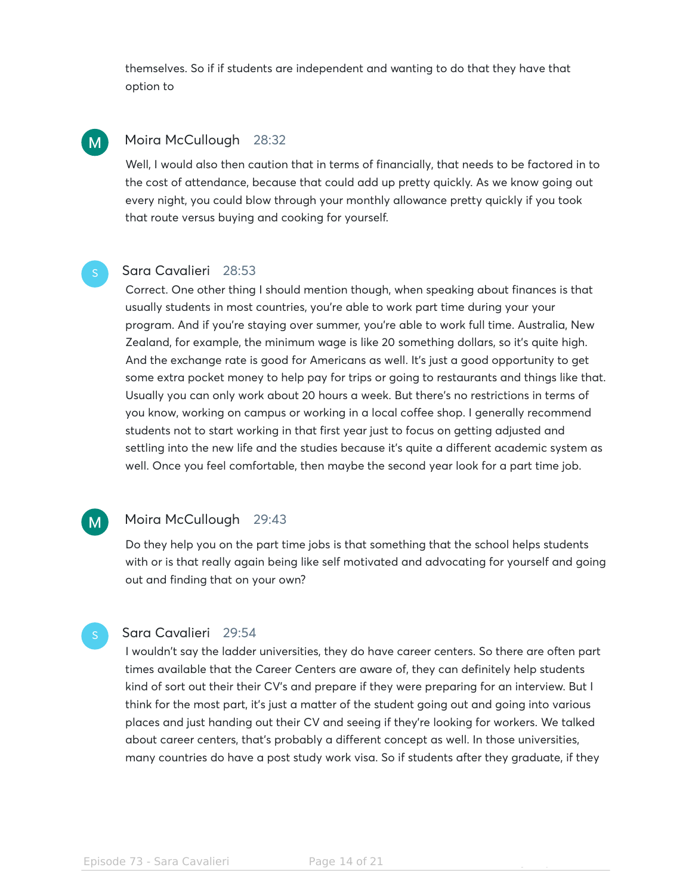themselves. So if if students are independent and wanting to do that they have that option to

#### Moira McCullough 28:32  $M$

Well, I would also then caution that in terms of financially, that needs to be factored in to the cost of attendance, because that could add up pretty quickly. As we know going out every night, you could blow through your monthly allowance pretty quickly if you took that route versus buying and cooking for yourself.

### Sara Cavalieri 28:53

Correct. One other thing I should mention though, when speaking about finances is that usually students in most countries, you're able to work part time during your your program. And if you're staying over summer, you're able to work full time. Australia, New Zealand, for example, the minimum wage is like 20 something dollars, so it's quite high. And the exchange rate is good for Americans as well. It's just a good opportunity to get some extra pocket money to help pay for trips or going to restaurants and things like that. Usually you can only work about 20 hours a week. But there's no restrictions in terms of you know, working on campus or working in a local coffee shop. I generally recommend students not to start working in that first year just to focus on getting adjusted and settling into the new life and the studies because it's quite a different academic system as well. Once you feel comfortable, then maybe the second year look for a part time job.

### Moira McCullough 29:43

 $M$ 

Do they help you on the part time jobs is that something that the school helps students with or is that really again being like self motivated and advocating for yourself and going out and finding that on your own?

### Sara Cavalieri 29:54

I wouldn't say the ladder universities, they do have career centers. So there are often part times available that the Career Centers are aware of, they can definitely help students kind of sort out their their CV's and prepare if they were preparing for an interview. But I think for the most part, it's just a matter of the student going out and going into various places and just handing out their CV and seeing if they're looking for workers. We talked about career centers, that's probably a different concept as well. In those universities, many countries do have a post study work visa. So if students after they graduate, if they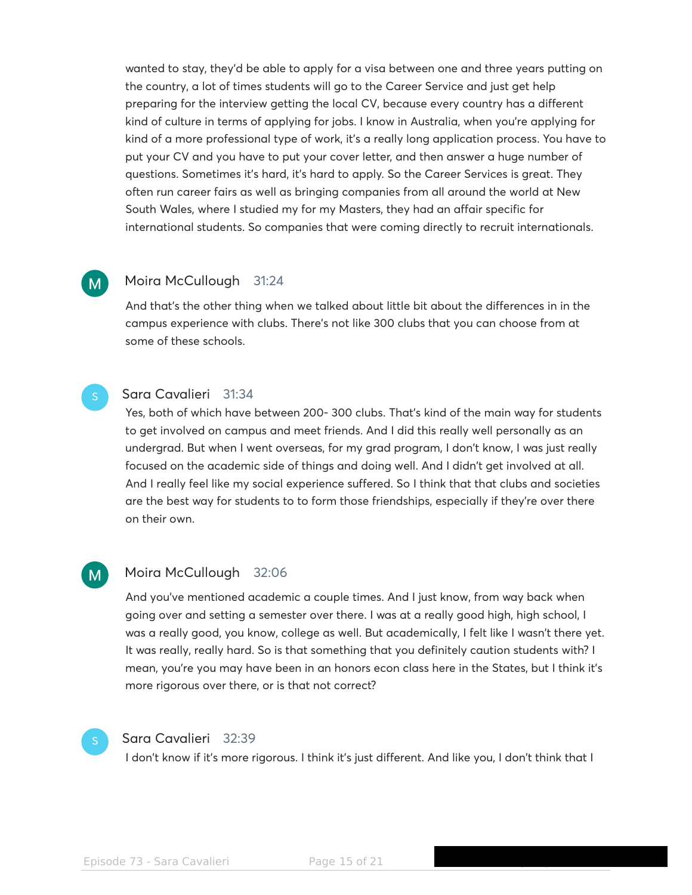wanted to stay, they'd be able to apply for a visa between one and three years putting on the country, a lot of times students will go to the Career Service and just get help preparing for the interview getting the local CV, because every country has a different kind of culture in terms of applying for jobs. I know in Australia, when you're applying for kind of a more professional type of work, it's a really long application process. You have to put your CV and you have to put your cover letter, and then answer a huge number of questions. Sometimes it's hard, it's hard to apply. So the Career Services is great. They often run career fairs as well as bringing companies from all around the world at New South Wales, where I studied my for my Masters, they had an affair specific for international students. So companies that were coming directly to recruit internationals.

#### Moira McCullough 31:24  $M$

And that's the other thing when we talked about little bit about the differences in in the campus experience with clubs. There's not like 300 clubs that you can choose from at some of these schools.

### Sara Cavalieri 31:34

Yes, both of which have between 200- 300 clubs. That's kind of the main way for students to get involved on campus and meet friends. And I did this really well personally as an undergrad. But when I went overseas, for my grad program, I don't know, I was just really focused on the academic side of things and doing well. And I didn't get involved at all. And I really feel like my social experience suffered. So I think that that clubs and societies are the best way for students to to form those friendships, especially if they're over there on their own.

### Moira McCullough 32:06

And you've mentioned academic a couple times. And I just know, from way back when going over and setting a semester over there. I was at a really good high, high school, I was a really good, you know, college as well. But academically, I felt like I wasn't there yet. It was really, really hard. So is that something that you definitely caution students with? I mean, you're you may have been in an honors econ class here in the States, but I think it's more rigorous over there, or is that not correct?



 $M_{\odot}$ 

### Sara Cavalieri 32:39

I don't know if it's more rigorous. I think it's just different. And like you, I don't think that I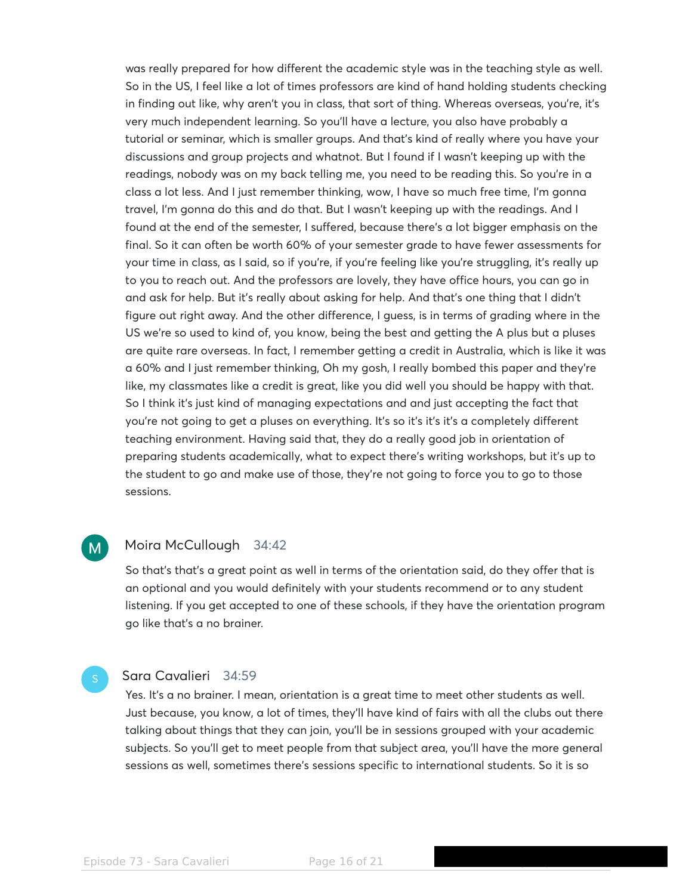was really prepared for how different the academic style was in the teaching style as well. So in the US, I feel like a lot of times professors are kind of hand holding students checking in finding out like, why aren't you in class, that sort of thing. Whereas overseas, you're, it's very much independent learning. So you'll have a lecture, you also have probably a tutorial or seminar, which is smaller groups. And that's kind of really where you have your discussions and group projects and whatnot. But I found if I wasn't keeping up with the readings, nobody was on my back telling me, you need to be reading this. So you're in a class a lot less. And I just remember thinking, wow, I have so much free time, I'm gonna travel, I'm gonna do this and do that. But I wasn't keeping up with the readings. And I found at the end of the semester, I suffered, because there's a lot bigger emphasis on the final. So it can often be worth 60% of your semester grade to have fewer assessments for your time in class, as I said, so if you're, if you're feeling like you're struggling, it's really up to you to reach out. And the professors are lovely, they have office hours, you can go in and ask for help. But it's really about asking for help. And that's one thing that I didn't figure out right away. And the other difference, I guess, is in terms of grading where in the US we're so used to kind of, you know, being the best and getting the A plus but a pluses are quite rare overseas. In fact, I remember getting a credit in Australia, which is like it was a 60% and I just remember thinking, Oh my gosh, I really bombed this paper and they're like, my classmates like a credit is great, like you did well you should be happy with that. So I think it's just kind of managing expectations and and just accepting the fact that you're not going to get a pluses on everything. It's so it's it's it's a completely different teaching environment. Having said that, they do a really good job in orientation of preparing students academically, what to expect there's writing workshops, but it's up to the student to go and make use of those, they're not going to force you to go to those sessions.

#### Moira McCullough 34:42 M<sub></sub>

So that's that's a great point as well in terms of the orientation said, do they offer that is an optional and you would definitely with your students recommend or to any student listening. If you get accepted to one of these schools, if they have the orientation program go like that's a no brainer.

### Sara Cavalieri 34:59

Yes. It's a no brainer. I mean, orientation is a great time to meet other students as well. Just because, you know, a lot of times, they'll have kind of fairs with all the clubs out there talking about things that they can join, you'll be in sessions grouped with your academic subjects. So you'll get to meet people from that subject area, you'll have the more general sessions as well, sometimes there's sessions specific to international students. So it is so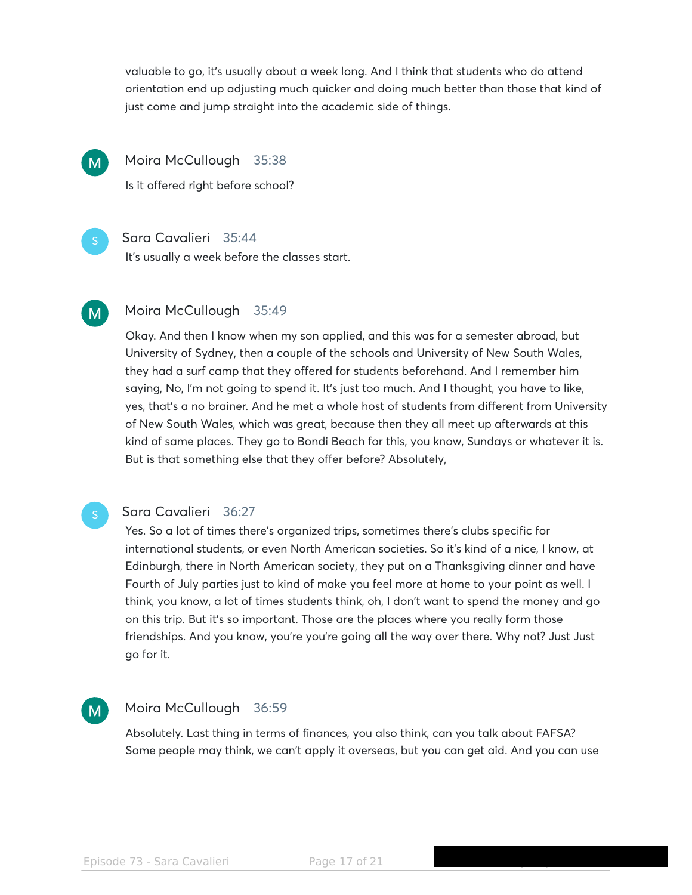valuable to go, it's usually about a week long. And I think that students who do attend orientation end up adjusting much quicker and doing much better than those that kind of just come and jump straight into the academic side of things.



Moira McCullough 35:38

Is it offered right before school?

### Sara Cavalieri 35:44

It's usually a week before the classes start.

### Moira McCullough 35:49  $M$

Okay. And then I know when my son applied, and this was for a semester abroad, but University of Sydney, then a couple of the schools and University of New South Wales, they had a surf camp that they offered for students beforehand. And I remember him saying, No, I'm not going to spend it. It's just too much. And I thought, you have to like, yes, that's a no brainer. And he met a whole host of students from different from University of New South Wales, which was great, because then they all meet up afterwards at this kind of same places. They go to Bondi Beach for this, you know, Sundays or whatever it is. But is that something else that they offer before? Absolutely,

### Sara Cavalieri 36:27

Yes. So a lot of times there's organized trips, sometimes there's clubs specific for international students, or even North American societies. So it's kind of a nice, I know, at Edinburgh, there in North American society, they put on a Thanksgiving dinner and have Fourth of July parties just to kind of make you feel more at home to your point as well. I think, you know, a lot of times students think, oh, I don't want to spend the money and go on this trip. But it's so important. Those are the places where you really form those friendships. And you know, you're you're going all the way over there. Why not? Just Just go for it.

### Moira McCullough 36:59  $M_{\odot}$

Absolutely. Last thing in terms of finances, you also think, can you talk about FAFSA? Some people may think, we can't apply it overseas, but you can get aid. And you can use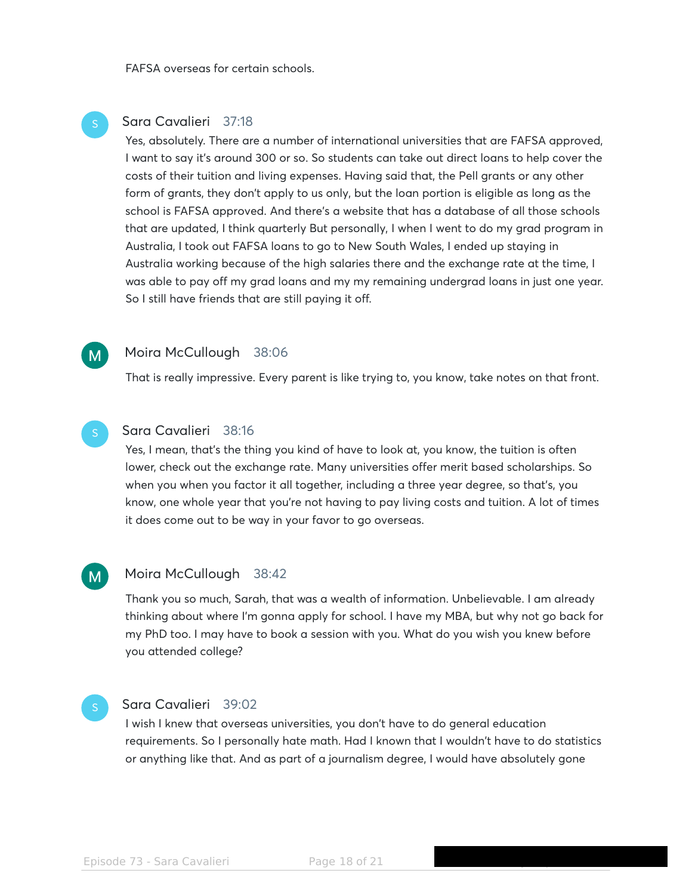FAFSA overseas for certain schools.

### Sara Cavalieri 37:18

Yes, absolutely. There are a number of international universities that are FAFSA approved, I want to say it's around 300 or so. So students can take out direct loans to help cover the costs of their tuition and living expenses. Having said that, the Pell grants or any other form of grants, they don't apply to us only, but the loan portion is eligible as long as the school is FAFSA approved. And there's a website that has a database of all those schools that are updated, I think quarterly But personally, I when I went to do my grad program in Australia, I took out FAFSA loans to go to New South Wales, I ended up staying in Australia working because of the high salaries there and the exchange rate at the time, I was able to pay off my grad loans and my my remaining undergrad loans in just one year. So I still have friends that are still paying it off.

### Moira McCullough 38:06

 $M$ 

That is really impressive. Every parent is like trying to, you know, take notes on that front.

### Sara Cavalieri 38:16

Yes, I mean, that's the thing you kind of have to look at, you know, the tuition is often lower, check out the exchange rate. Many universities offer merit based scholarships. So when you when you factor it all together, including a three year degree, so that's, you know, one whole year that you're not having to pay living costs and tuition. A lot of times it does come out to be way in your favor to go overseas.

#### Moira McCullough 38:42  $M$

Thank you so much, Sarah, that was a wealth of information. Unbelievable. I am already thinking about where I'm gonna apply for school. I have my MBA, but why not go back for my PhD too. I may have to book a session with you. What do you wish you knew before you attended college?

## Sara Cavalieri 39:02

I wish I knew that overseas universities, you don't have to do general education requirements. So I personally hate math. Had I known that I wouldn't have to do statistics or anything like that. And as part of a journalism degree, I would have absolutely gone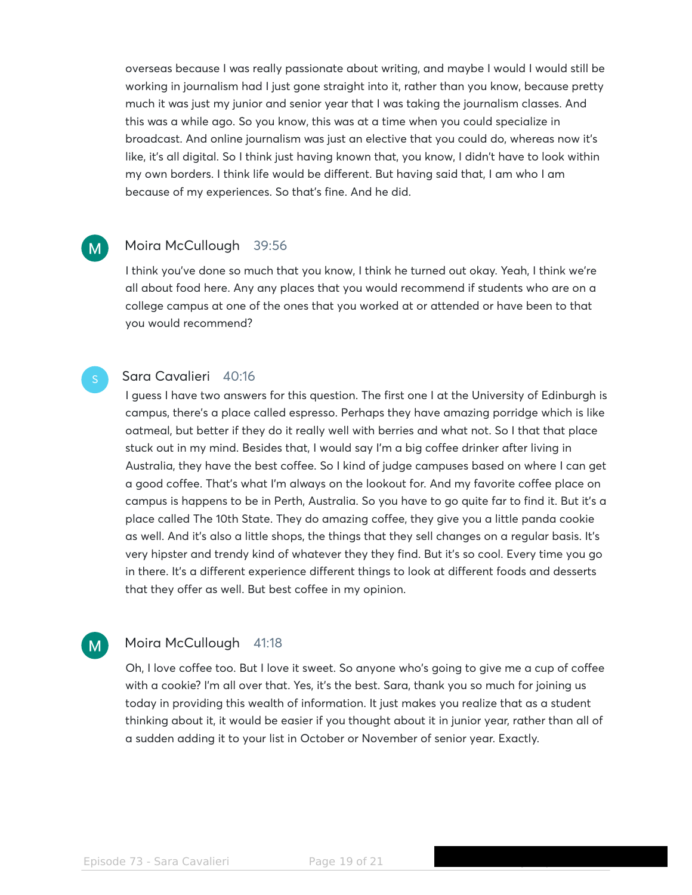overseas because I was really passionate about writing, and maybe I would I would still be working in journalism had I just gone straight into it, rather than you know, because pretty much it was just my junior and senior year that I was taking the journalism classes. And this was a while ago. So you know, this was at a time when you could specialize in broadcast. And online journalism was just an elective that you could do, whereas now it's like, it's all digital. So I think just having known that, you know, I didn't have to look within my own borders. I think life would be different. But having said that, I am who I am because of my experiences. So that's fine. And he did.

### Moira McCullough 39:56

 $M$ 

M<sub>1</sub>

I think you've done so much that you know, I think he turned out okay. Yeah, I think we're all about food here. Any any places that you would recommend if students who are on a college campus at one of the ones that you worked at or attended or have been to that you would recommend?

### Sara Cavalieri 40:16

I guess I have two answers for this question. The first one I at the University of Edinburgh is campus, there's a place called espresso. Perhaps they have amazing porridge which is like oatmeal, but better if they do it really well with berries and what not. So I that that place stuck out in my mind. Besides that, I would say I'm a big coffee drinker after living in Australia, they have the best coffee. So I kind of judge campuses based on where I can get a good coffee. That's what I'm always on the lookout for. And my favorite coffee place on campus is happens to be in Perth, Australia. So you have to go quite far to find it. But it's a place called The 10th State. They do amazing coffee, they give you a little panda cookie as well. And it's also a little shops, the things that they sell changes on a regular basis. It's very hipster and trendy kind of whatever they they find. But it's so cool. Every time you go in there. It's a different experience different things to look at different foods and desserts that they offer as well. But best coffee in my opinion.

### Moira McCullough 41:18

Oh, I love coffee too. But I love it sweet. So anyone who's going to give me a cup of coffee with a cookie? I'm all over that. Yes, it's the best. Sara, thank you so much for joining us today in providing this wealth of information. It just makes you realize that as a student thinking about it, it would be easier if you thought about it in junior year, rather than all of a sudden adding it to your list in October or November of senior year. Exactly.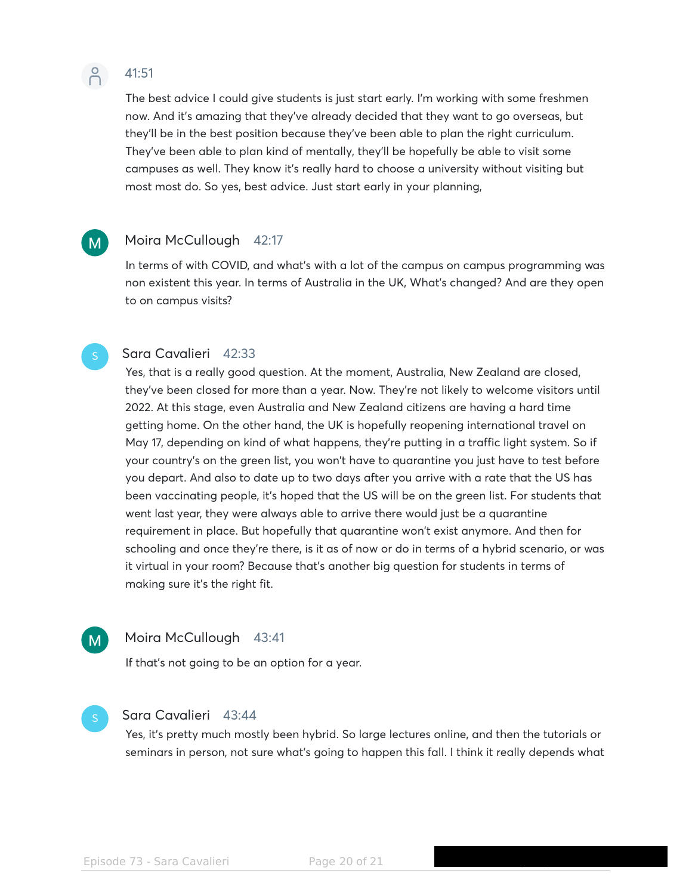

 $\mathsf{M}$ 

## 41:51

The best advice I could give students is just start early. I'm working with some freshmen now. And it's amazing that they've already decided that they want to go overseas, but they'll be in the best position because they've been able to plan the right curriculum. They've been able to plan kind of mentally, they'll be hopefully be able to visit some campuses as well. They know it's really hard to choose a university without visiting but most most do. So yes, best advice. Just start early in your planning,

### Moira McCullough 42:17

In terms of with COVID, and what's with a lot of the campus on campus programming was non existent this year. In terms of Australia in the UK, What's changed? And are they open to on campus visits?

### Sara Cavalieri 42:33

Yes, that is a really good question. At the moment, Australia, New Zealand are closed, they've been closed for more than a year. Now. They're not likely to welcome visitors until 2022. At this stage, even Australia and New Zealand citizens are having a hard time getting home. On the other hand, the UK is hopefully reopening international travel on May 17, depending on kind of what happens, they're putting in a traffic light system. So if your country's on the green list, you won't have to quarantine you just have to test before you depart. And also to date up to two days after you arrive with a rate that the US has been vaccinating people, it's hoped that the US will be on the green list. For students that went last year, they were always able to arrive there would just be a quarantine requirement in place. But hopefully that quarantine won't exist anymore. And then for schooling and once they're there, is it as of now or do in terms of a hybrid scenario, or was it virtual in your room? Because that's another big question for students in terms of making sure it's the right fit.

# $M$

### Moira McCullough 43:41

If that's not going to be an option for a year.

### Sara Cavalieri 43:44

Yes, it's pretty much mostly been hybrid. So large lectures online, and then the tutorials or seminars in person, not sure what's going to happen this fall. I think it really depends what